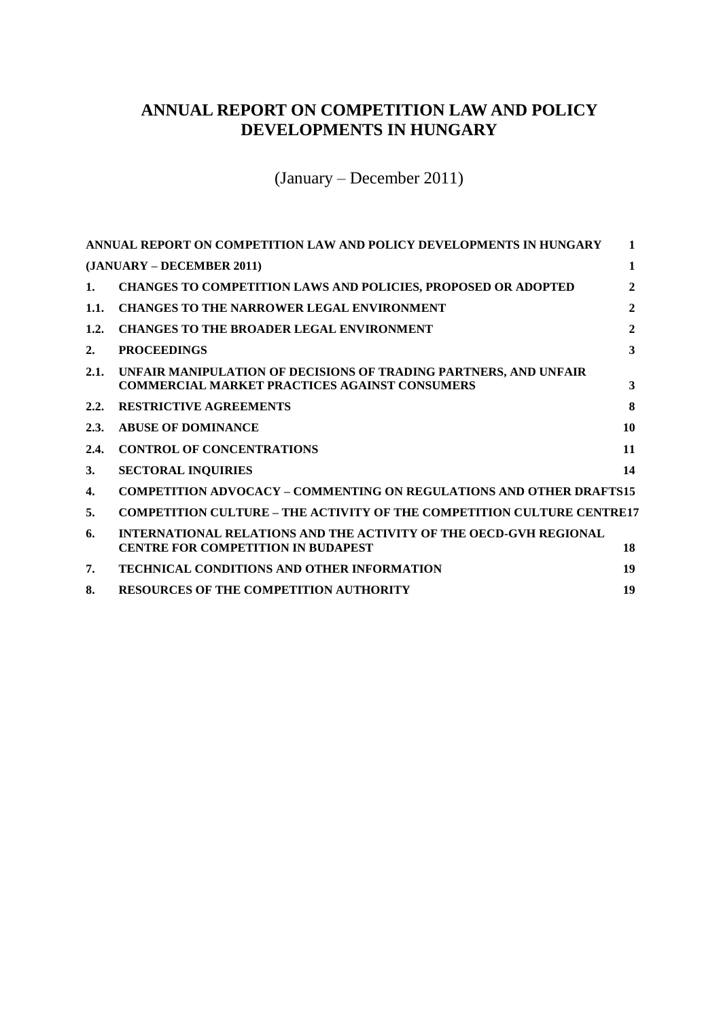# <span id="page-0-0"></span>**ANNUAL REPORT ON COMPETITION LAW AND POLICY DEVELOPMENTS IN HUNGARY**

(January – December 2011)

<span id="page-0-1"></span>

|              | ANNUAL REPORT ON COMPETITION LAW AND POLICY DEVELOPMENTS IN HUNGARY                                                      | 1              |
|--------------|--------------------------------------------------------------------------------------------------------------------------|----------------|
|              | (JANUARY – DECEMBER 2011)                                                                                                | 1              |
| 1.           | <b>CHANGES TO COMPETITION LAWS AND POLICIES, PROPOSED OR ADOPTED</b>                                                     | $\mathbf{2}$   |
| 1.1.         | <b>CHANGES TO THE NARROWER LEGAL ENVIRONMENT</b>                                                                         | $\mathbf{2}$   |
| 1.2.         | <b>CHANGES TO THE BROADER LEGAL ENVIRONMENT</b>                                                                          | $\overline{2}$ |
| 2.           | <b>PROCEEDINGS</b>                                                                                                       | 3              |
| 2.1.         | UNFAIR MANIPULATION OF DECISIONS OF TRADING PARTNERS, AND UNFAIR<br><b>COMMERCIAL MARKET PRACTICES AGAINST CONSUMERS</b> | 3              |
| 2.2.         | <b>RESTRICTIVE AGREEMENTS</b>                                                                                            | 8              |
| 2.3.         | <b>ABUSE OF DOMINANCE</b>                                                                                                | 10             |
| 2.4.         | <b>CONTROL OF CONCENTRATIONS</b>                                                                                         | 11             |
| 3.           | <b>SECTORAL INQUIRIES</b>                                                                                                | 14             |
| $\mathbf{4}$ | <b>COMPETITION ADVOCACY - COMMENTING ON REGULATIONS AND OTHER DRAFTS15</b>                                               |                |
| 5.           | <b>COMPETITION CULTURE – THE ACTIVITY OF THE COMPETITION CULTURE CENTRE17</b>                                            |                |
| 6.           | <b>INTERNATIONAL RELATIONS AND THE ACTIVITY OF THE OECD-GVH REGIONAL</b><br><b>CENTRE FOR COMPETITION IN BUDAPEST</b>    | 18             |
| 7.           | <b>TECHNICAL CONDITIONS AND OTHER INFORMATION</b>                                                                        | 19             |
| 8.           | <b>RESOURCES OF THE COMPETITION AUTHORITY</b>                                                                            | 19             |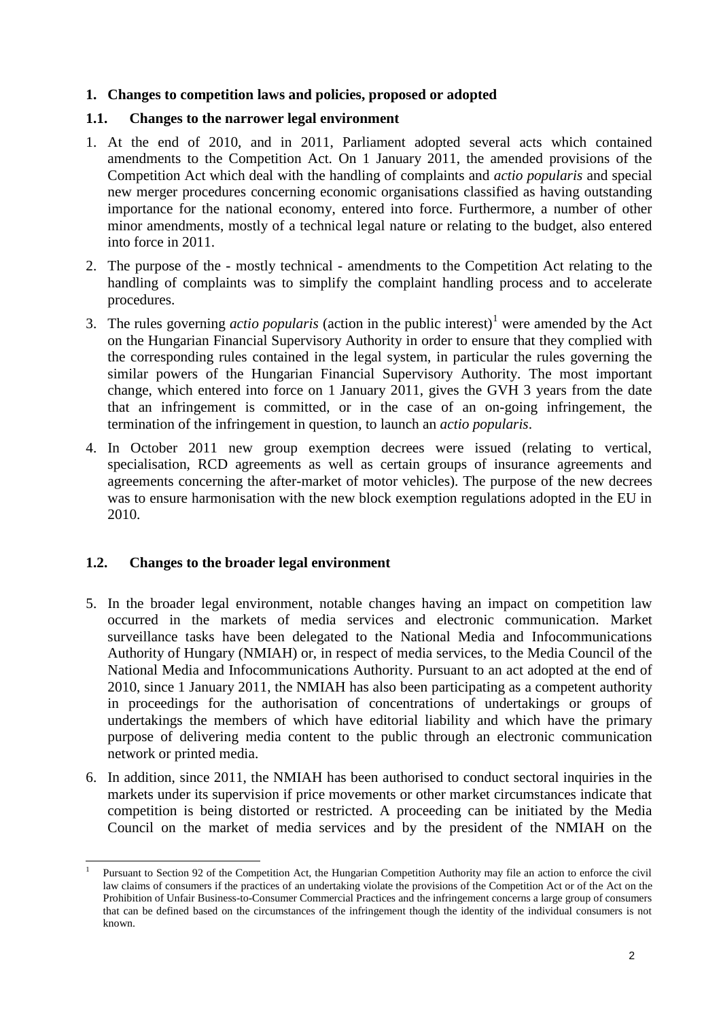## <span id="page-1-0"></span>**1. Changes to competition laws and policies, proposed or adopted**

### <span id="page-1-1"></span>**1.1. Changes to the narrower legal environment**

- 1. At the end of 2010, and in 2011, Parliament adopted several acts which contained amendments to the Competition Act. On 1 January 2011, the amended provisions of the Competition Act which deal with the handling of complaints and *actio popularis* and special new merger procedures concerning economic organisations classified as having outstanding importance for the national economy, entered into force. Furthermore, a number of other minor amendments, mostly of a technical legal nature or relating to the budget, also entered into force in 2011.
- 2. The purpose of the mostly technical amendments to the Competition Act relating to the handling of complaints was to simplify the complaint handling process and to accelerate procedures.
- 3. The rules governing *actio popularis* (action in the public interest)<sup>1</sup> were amended by the Act on the Hungarian Financial Supervisory Authority in order to ensure that they complied with the corresponding rules contained in the legal system, in particular the rules governing the similar powers of the Hungarian Financial Supervisory Authority. The most important change, which entered into force on 1 January 2011, gives the GVH 3 years from the date that an infringement is committed, or in the case of an on-going infringement, the termination of the infringement in question, to launch an *actio popularis*.
- 4. In October 2011 new group exemption decrees were issued (relating to vertical, specialisation, RCD agreements as well as certain groups of insurance agreements and agreements concerning the after-market of motor vehicles). The purpose of the new decrees was to ensure harmonisation with the new block exemption regulations adopted in the EU in 2010.

# <span id="page-1-2"></span>**1.2. Changes to the broader legal environment**

- 5. In the broader legal environment, notable changes having an impact on competition law occurred in the markets of media services and electronic communication. Market surveillance tasks have been delegated to the National Media and Infocommunications Authority of Hungary (NMIAH) or, in respect of media services, to the Media Council of the National Media and Infocommunications Authority. Pursuant to an act adopted at the end of 2010, since 1 January 2011, the NMIAH has also been participating as a competent authority in proceedings for the authorisation of concentrations of undertakings or groups of undertakings the members of which have editorial liability and which have the primary purpose of delivering media content to the public through an electronic communication network or printed media.
- 6. In addition, since 2011, the NMIAH has been authorised to conduct sectoral inquiries in the markets under its supervision if price movements or other market circumstances indicate that competition is being distorted or restricted. A proceeding can be initiated by the Media Council on the market of media services and by the president of the NMIAH on the

 1 Pursuant to Section 92 of the Competition Act, the Hungarian Competition Authority may file an action to enforce the civil law claims of consumers if the practices of an undertaking violate the provisions of the Competition Act or of the Act on the Prohibition of Unfair Business-to-Consumer Commercial Practices and the infringement concerns a large group of consumers that can be defined based on the circumstances of the infringement though the identity of the individual consumers is not known.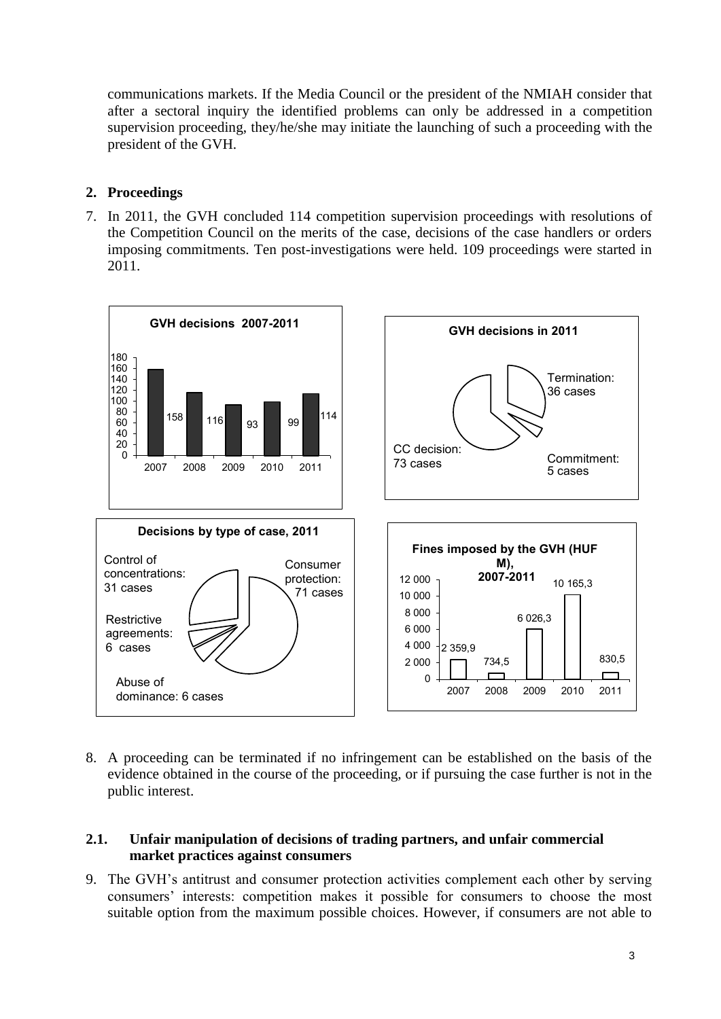communications markets. If the Media Council or the president of the NMIAH consider that after a sectoral inquiry the identified problems can only be addressed in a competition supervision proceeding, they/he/she may initiate the launching of such a proceeding with the president of the GVH.

# <span id="page-2-0"></span>**2. Proceedings**

7. In 2011, the GVH concluded 114 competition supervision proceedings with resolutions of the Competition Council on the merits of the case, decisions of the case handlers or orders imposing commitments. Ten post-investigations were held. 109 proceedings were started in 2011.



8. A proceeding can be terminated if no infringement can be established on the basis of the evidence obtained in the course of the proceeding, or if pursuing the case further is not in the public interest.

### <span id="page-2-1"></span>**2.1. Unfair manipulation of decisions of trading partners, and unfair commercial market practices against consumers**

9. The GVH's antitrust and consumer protection activities complement each other by serving consumers' interests: competition makes it possible for consumers to choose the most suitable option from the maximum possible choices. However, if consumers are not able to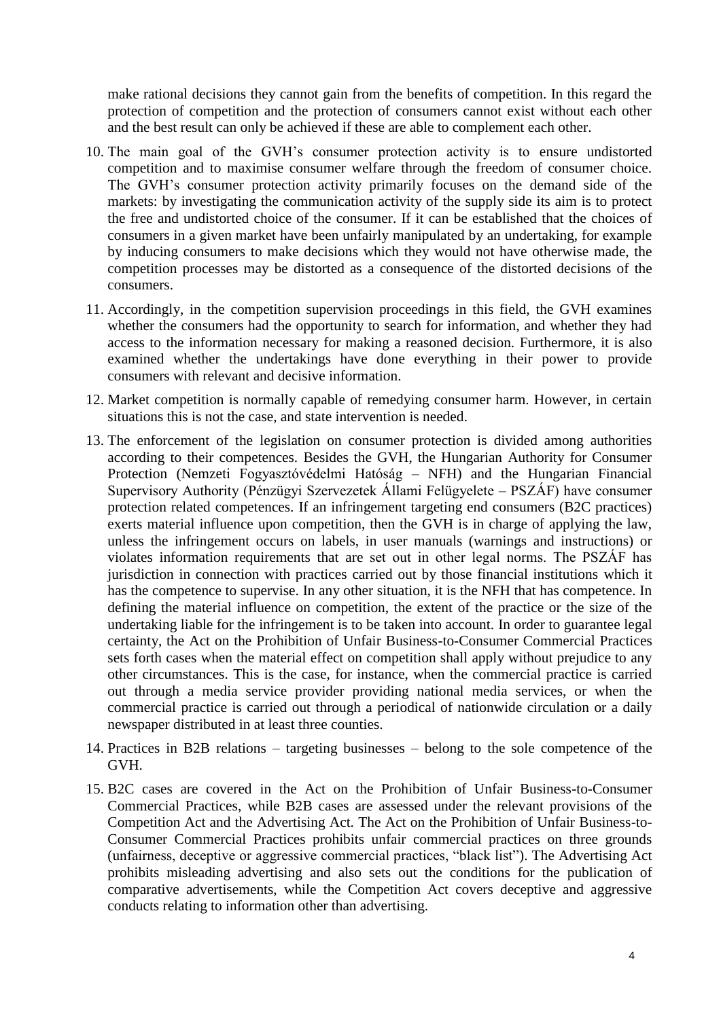make rational decisions they cannot gain from the benefits of competition. In this regard the protection of competition and the protection of consumers cannot exist without each other and the best result can only be achieved if these are able to complement each other.

- 10. The main goal of the GVH's consumer protection activity is to ensure undistorted competition and to maximise consumer welfare through the freedom of consumer choice. The GVH's consumer protection activity primarily focuses on the demand side of the markets: by investigating the communication activity of the supply side its aim is to protect the free and undistorted choice of the consumer. If it can be established that the choices of consumers in a given market have been unfairly manipulated by an undertaking, for example by inducing consumers to make decisions which they would not have otherwise made, the competition processes may be distorted as a consequence of the distorted decisions of the consumers.
- 11. Accordingly, in the competition supervision proceedings in this field, the GVH examines whether the consumers had the opportunity to search for information, and whether they had access to the information necessary for making a reasoned decision. Furthermore, it is also examined whether the undertakings have done everything in their power to provide consumers with relevant and decisive information.
- 12. Market competition is normally capable of remedying consumer harm. However, in certain situations this is not the case, and state intervention is needed.
- 13. The enforcement of the legislation on consumer protection is divided among authorities according to their competences. Besides the GVH, the Hungarian Authority for Consumer Protection (Nemzeti Fogyasztóvédelmi Hatóság – NFH) and the Hungarian Financial Supervisory Authority (Pénzügyi Szervezetek Állami Felügyelete – PSZÁF) have consumer protection related competences. If an infringement targeting end consumers (B2C practices) exerts material influence upon competition, then the GVH is in charge of applying the law, unless the infringement occurs on labels, in user manuals (warnings and instructions) or violates information requirements that are set out in other legal norms. The PSZÁF has jurisdiction in connection with practices carried out by those financial institutions which it has the competence to supervise. In any other situation, it is the NFH that has competence. In defining the material influence on competition, the extent of the practice or the size of the undertaking liable for the infringement is to be taken into account. In order to guarantee legal certainty, the Act on the Prohibition of Unfair Business-to-Consumer Commercial Practices sets forth cases when the material effect on competition shall apply without prejudice to any other circumstances. This is the case, for instance, when the commercial practice is carried out through a media service provider providing national media services, or when the commercial practice is carried out through a periodical of nationwide circulation or a daily newspaper distributed in at least three counties.
- 14. Practices in B2B relations targeting businesses belong to the sole competence of the GVH.
- 15. B2C cases are covered in the Act on the Prohibition of Unfair Business-to-Consumer Commercial Practices, while B2B cases are assessed under the relevant provisions of the Competition Act and the Advertising Act. The Act on the Prohibition of Unfair Business-to-Consumer Commercial Practices prohibits unfair commercial practices on three grounds (unfairness, deceptive or aggressive commercial practices, "black list"). The Advertising Act prohibits misleading advertising and also sets out the conditions for the publication of comparative advertisements, while the Competition Act covers deceptive and aggressive conducts relating to information other than advertising.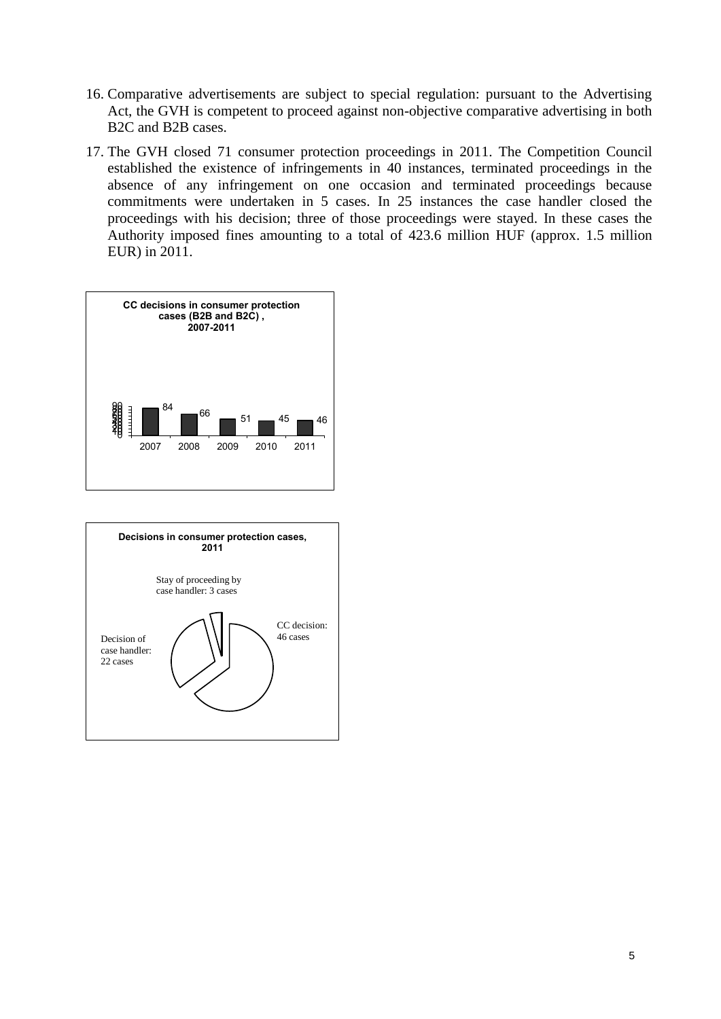- 16. Comparative advertisements are subject to special regulation: pursuant to the Advertising Act, the GVH is competent to proceed against non-objective comparative advertising in both B2C and B2B cases.
- 17. The GVH closed 71 consumer protection proceedings in 2011. The Competition Council established the existence of infringements in 40 instances, terminated proceedings in the absence of any infringement on one occasion and terminated proceedings because commitments were undertaken in 5 cases. In 25 instances the case handler closed the proceedings with his decision; three of those proceedings were stayed. In these cases the Authority imposed fines amounting to a total of 423.6 million HUF (approx. 1.5 million EUR) in 2011.



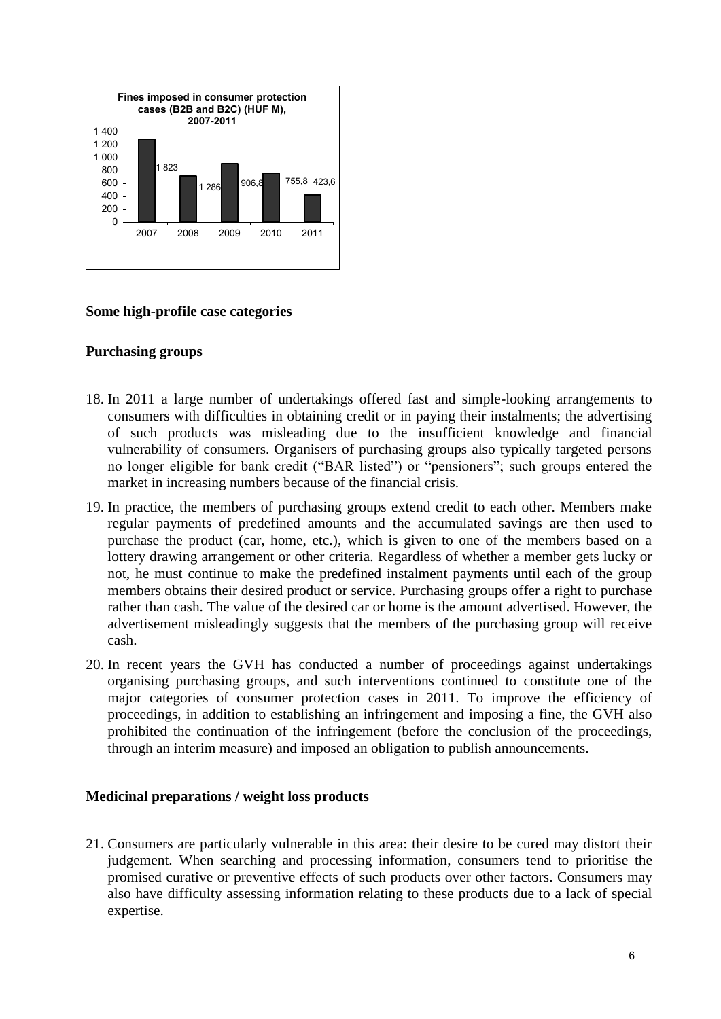

#### **Some high-profile case categories**

#### **Purchasing groups**

- 18. In 2011 a large number of undertakings offered fast and simple-looking arrangements to consumers with difficulties in obtaining credit or in paying their instalments; the advertising of such products was misleading due to the insufficient knowledge and financial vulnerability of consumers. Organisers of purchasing groups also typically targeted persons no longer eligible for bank credit ("BAR listed") or "pensioners"; such groups entered the market in increasing numbers because of the financial crisis.
- 19. In practice, the members of purchasing groups extend credit to each other. Members make regular payments of predefined amounts and the accumulated savings are then used to purchase the product (car, home, etc.), which is given to one of the members based on a lottery drawing arrangement or other criteria. Regardless of whether a member gets lucky or not, he must continue to make the predefined instalment payments until each of the group members obtains their desired product or service. Purchasing groups offer a right to purchase rather than cash. The value of the desired car or home is the amount advertised. However, the advertisement misleadingly suggests that the members of the purchasing group will receive cash.
- 20. In recent years the GVH has conducted a number of proceedings against undertakings organising purchasing groups, and such interventions continued to constitute one of the major categories of consumer protection cases in 2011. To improve the efficiency of proceedings, in addition to establishing an infringement and imposing a fine, the GVH also prohibited the continuation of the infringement (before the conclusion of the proceedings, through an interim measure) and imposed an obligation to publish announcements.

#### **Medicinal preparations / weight loss products**

21. Consumers are particularly vulnerable in this area: their desire to be cured may distort their judgement. When searching and processing information, consumers tend to prioritise the promised curative or preventive effects of such products over other factors. Consumers may also have difficulty assessing information relating to these products due to a lack of special expertise.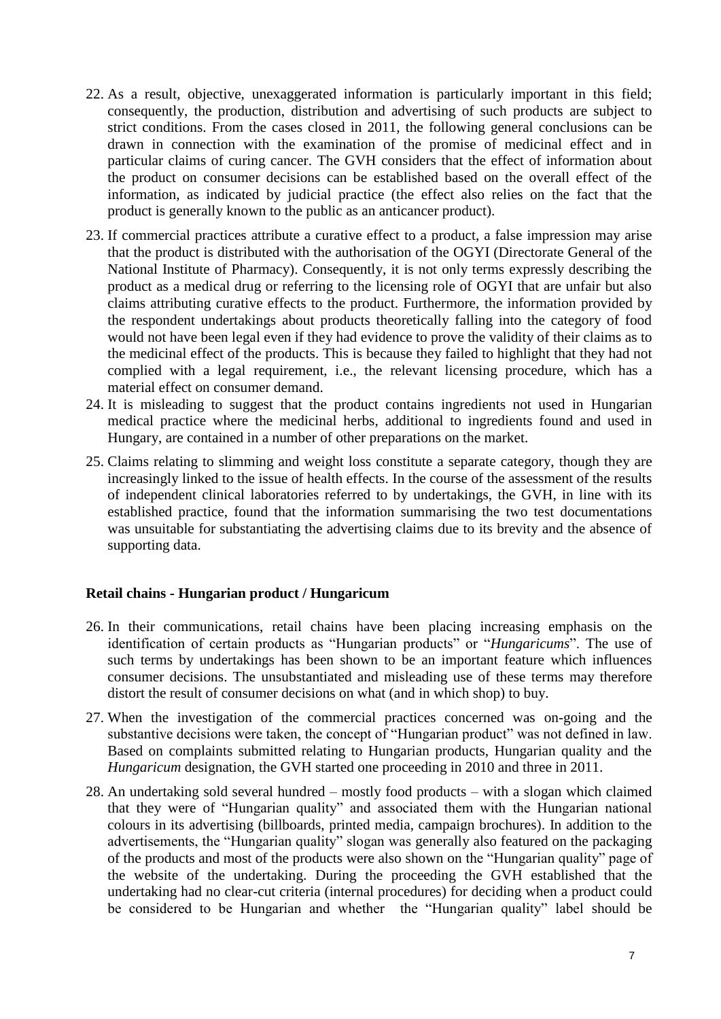- 22. As a result, objective, unexaggerated information is particularly important in this field; consequently, the production, distribution and advertising of such products are subject to strict conditions. From the cases closed in 2011, the following general conclusions can be drawn in connection with the examination of the promise of medicinal effect and in particular claims of curing cancer. The GVH considers that the effect of information about the product on consumer decisions can be established based on the overall effect of the information, as indicated by judicial practice (the effect also relies on the fact that the product is generally known to the public as an anticancer product).
- 23. If commercial practices attribute a curative effect to a product, a false impression may arise that the product is distributed with the authorisation of the OGYI (Directorate General of the National Institute of Pharmacy). Consequently, it is not only terms expressly describing the product as a medical drug or referring to the licensing role of OGYI that are unfair but also claims attributing curative effects to the product. Furthermore, the information provided by the respondent undertakings about products theoretically falling into the category of food would not have been legal even if they had evidence to prove the validity of their claims as to the medicinal effect of the products. This is because they failed to highlight that they had not complied with a legal requirement, i.e., the relevant licensing procedure, which has a material effect on consumer demand.
- 24. It is misleading to suggest that the product contains ingredients not used in Hungarian medical practice where the medicinal herbs, additional to ingredients found and used in Hungary, are contained in a number of other preparations on the market.
- 25. Claims relating to slimming and weight loss constitute a separate category, though they are increasingly linked to the issue of health effects. In the course of the assessment of the results of independent clinical laboratories referred to by undertakings, the GVH, in line with its established practice, found that the information summarising the two test documentations was unsuitable for substantiating the advertising claims due to its brevity and the absence of supporting data.

#### **Retail chains - Hungarian product / Hungaricum**

- 26. In their communications, retail chains have been placing increasing emphasis on the identification of certain products as "Hungarian products" or "*Hungaricums*". The use of such terms by undertakings has been shown to be an important feature which influences consumer decisions. The unsubstantiated and misleading use of these terms may therefore distort the result of consumer decisions on what (and in which shop) to buy.
- 27. When the investigation of the commercial practices concerned was on-going and the substantive decisions were taken, the concept of "Hungarian product" was not defined in law. Based on complaints submitted relating to Hungarian products, Hungarian quality and the *Hungaricum* designation, the GVH started one proceeding in 2010 and three in 2011.
- 28. An undertaking sold several hundred mostly food products with a slogan which claimed that they were of "Hungarian quality" and associated them with the Hungarian national colours in its advertising (billboards, printed media, campaign brochures). In addition to the advertisements, the "Hungarian quality" slogan was generally also featured on the packaging of the products and most of the products were also shown on the "Hungarian quality" page of the website of the undertaking. During the proceeding the GVH established that the undertaking had no clear-cut criteria (internal procedures) for deciding when a product could be considered to be Hungarian and whether the "Hungarian quality" label should be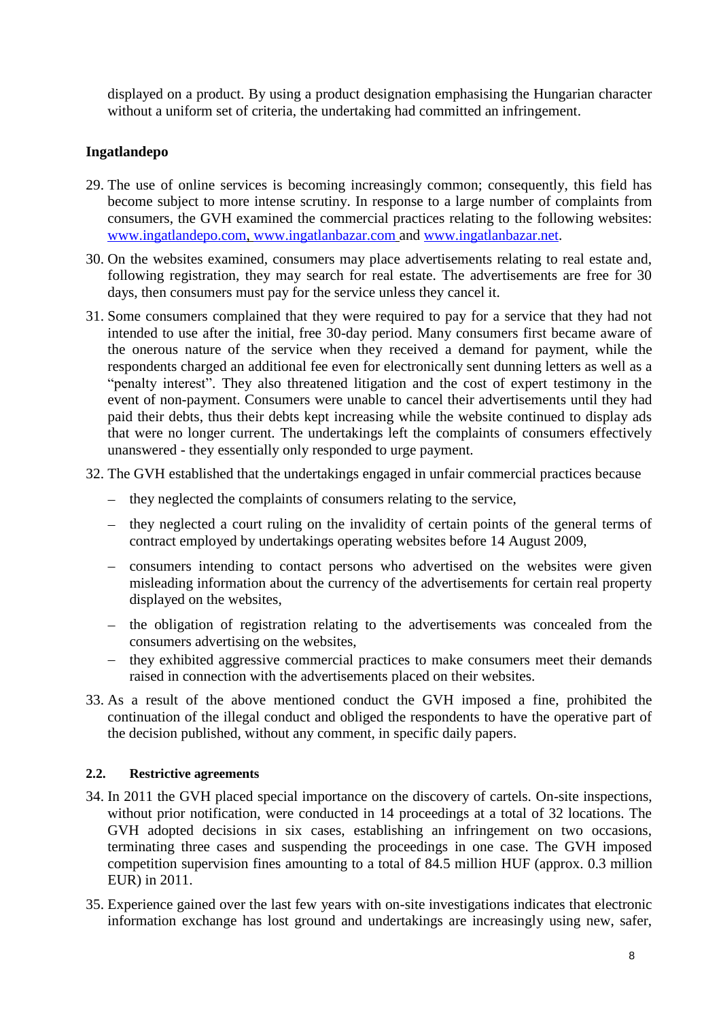displayed on a product. By using a product designation emphasising the Hungarian character without a uniform set of criteria, the undertaking had committed an infringement.

# **Ingatlandepo**

- 29. The use of online services is becoming increasingly common; consequently, this field has become subject to more intense scrutiny. In response to a large number of complaints from consumers, the GVH examined the commercial practices relating to the following websites: [www.ingatlandepo.com,](http://www.ingatlandepo.com/) [www.ingatlanbazar.com](http://www.ingatlanbazar.com/) and [www.ingatlanbazar.net.](http://www.ingatlanbazar.net/)
- 30. On the websites examined, consumers may place advertisements relating to real estate and, following registration, they may search for real estate. The advertisements are free for 30 days, then consumers must pay for the service unless they cancel it.
- 31. Some consumers complained that they were required to pay for a service that they had not intended to use after the initial, free 30-day period. Many consumers first became aware of the onerous nature of the service when they received a demand for payment, while the respondents charged an additional fee even for electronically sent dunning letters as well as a "penalty interest". They also threatened litigation and the cost of expert testimony in the event of non-payment. Consumers were unable to cancel their advertisements until they had paid their debts, thus their debts kept increasing while the website continued to display ads that were no longer current. The undertakings left the complaints of consumers effectively unanswered - they essentially only responded to urge payment.
- 32. The GVH established that the undertakings engaged in unfair commercial practices because
	- $\theta$  they neglected the complaints of consumers relating to the service,
	- they neglected a court ruling on the invalidity of certain points of the general terms of contract employed by undertakings operating websites before 14 August 2009,
	- consumers intending to contact persons who advertised on the websites were given misleading information about the currency of the advertisements for certain real property displayed on the websites,
	- the obligation of registration relating to the advertisements was concealed from the consumers advertising on the websites,
	- they exhibited aggressive commercial practices to make consumers meet their demands raised in connection with the advertisements placed on their websites.
- 33. As a result of the above mentioned conduct the GVH imposed a fine, prohibited the continuation of the illegal conduct and obliged the respondents to have the operative part of the decision published, without any comment, in specific daily papers.

#### <span id="page-7-0"></span>**2.2. Restrictive agreements**

- 34. In 2011 the GVH placed special importance on the discovery of cartels. On-site inspections, without prior notification, were conducted in 14 proceedings at a total of 32 locations. The GVH adopted decisions in six cases, establishing an infringement on two occasions, terminating three cases and suspending the proceedings in one case. The GVH imposed competition supervision fines amounting to a total of 84.5 million HUF (approx. 0.3 million EUR) in 2011.
- 35. Experience gained over the last few years with on-site investigations indicates that electronic information exchange has lost ground and undertakings are increasingly using new, safer,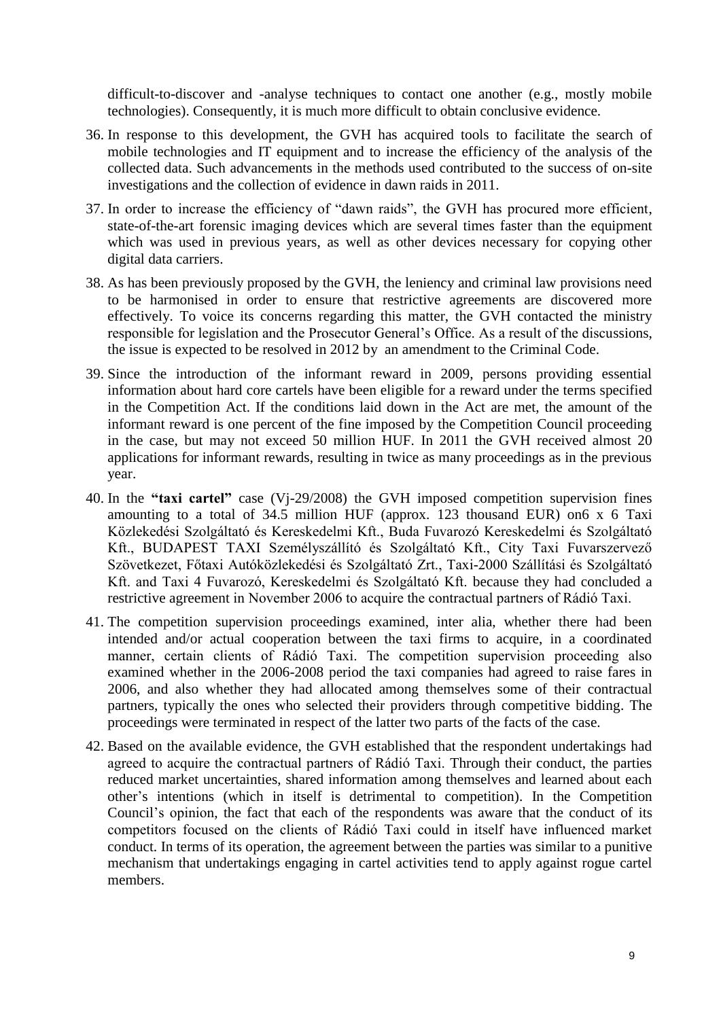difficult-to-discover and -analyse techniques to contact one another (e.g., mostly mobile technologies). Consequently, it is much more difficult to obtain conclusive evidence.

- 36. In response to this development, the GVH has acquired tools to facilitate the search of mobile technologies and IT equipment and to increase the efficiency of the analysis of the collected data. Such advancements in the methods used contributed to the success of on-site investigations and the collection of evidence in dawn raids in 2011.
- 37. In order to increase the efficiency of "dawn raids", the GVH has procured more efficient, state-of-the-art forensic imaging devices which are several times faster than the equipment which was used in previous years, as well as other devices necessary for copying other digital data carriers.
- 38. As has been previously proposed by the GVH, the leniency and criminal law provisions need to be harmonised in order to ensure that restrictive agreements are discovered more effectively. To voice its concerns regarding this matter, the GVH contacted the ministry responsible for legislation and the Prosecutor General's Office. As a result of the discussions, the issue is expected to be resolved in 2012 by an amendment to the Criminal Code.
- 39. Since the introduction of the informant reward in 2009, persons providing essential information about hard core cartels have been eligible for a reward under the terms specified in the Competition Act. If the conditions laid down in the Act are met, the amount of the informant reward is one percent of the fine imposed by the Competition Council proceeding in the case, but may not exceed 50 million HUF. In 2011 the GVH received almost 20 applications for informant rewards, resulting in twice as many proceedings as in the previous year.
- 40. In the **"taxi cartel"** case (Vj-29/2008) the GVH imposed competition supervision fines amounting to a total of 34.5 million HUF (approx. 123 thousand EUR) on6 x 6 Taxi Közlekedési Szolgáltató és Kereskedelmi Kft., Buda Fuvarozó Kereskedelmi és Szolgáltató Kft., BUDAPEST TAXI Személyszállító és Szolgáltató Kft., City Taxi Fuvarszervező Szövetkezet, Főtaxi Autóközlekedési és Szolgáltató Zrt., Taxi-2000 Szállítási és Szolgáltató Kft. and Taxi 4 Fuvarozó, Kereskedelmi és Szolgáltató Kft. because they had concluded a restrictive agreement in November 2006 to acquire the contractual partners of Rádió Taxi.
- 41. The competition supervision proceedings examined, inter alia, whether there had been intended and/or actual cooperation between the taxi firms to acquire, in a coordinated manner, certain clients of Rádió Taxi. The competition supervision proceeding also examined whether in the 2006-2008 period the taxi companies had agreed to raise fares in 2006, and also whether they had allocated among themselves some of their contractual partners, typically the ones who selected their providers through competitive bidding. The proceedings were terminated in respect of the latter two parts of the facts of the case.
- 42. Based on the available evidence, the GVH established that the respondent undertakings had agreed to acquire the contractual partners of Rádió Taxi. Through their conduct, the parties reduced market uncertainties, shared information among themselves and learned about each other's intentions (which in itself is detrimental to competition). In the Competition Council's opinion, the fact that each of the respondents was aware that the conduct of its competitors focused on the clients of Rádió Taxi could in itself have influenced market conduct. In terms of its operation, the agreement between the parties was similar to a punitive mechanism that undertakings engaging in cartel activities tend to apply against rogue cartel members.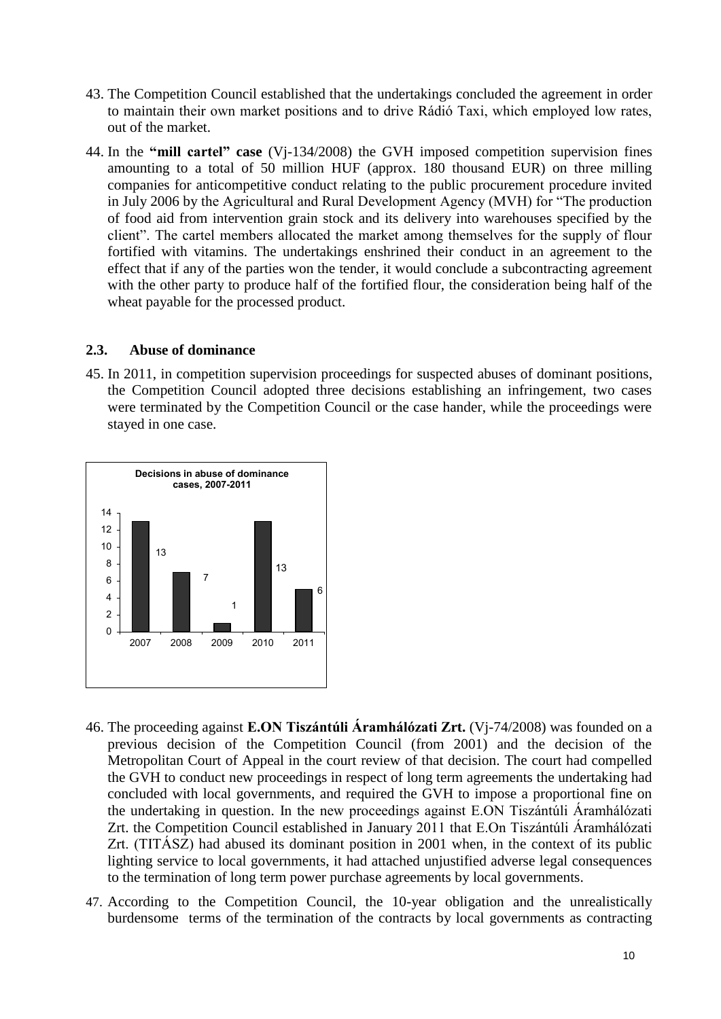- 43. The Competition Council established that the undertakings concluded the agreement in order to maintain their own market positions and to drive Rádió Taxi, which employed low rates, out of the market.
- 44. In the **"mill cartel" case** (Vj-134/2008) the GVH imposed competition supervision fines amounting to a total of 50 million HUF (approx. 180 thousand EUR) on three milling companies for anticompetitive conduct relating to the public procurement procedure invited in July 2006 by the Agricultural and Rural Development Agency (MVH) for "The production of food aid from intervention grain stock and its delivery into warehouses specified by the client". The cartel members allocated the market among themselves for the supply of flour fortified with vitamins. The undertakings enshrined their conduct in an agreement to the effect that if any of the parties won the tender, it would conclude a subcontracting agreement with the other party to produce half of the fortified flour, the consideration being half of the wheat payable for the processed product.

#### <span id="page-9-0"></span>**2.3. Abuse of dominance**

45. In 2011, in competition supervision proceedings for suspected abuses of dominant positions, the Competition Council adopted three decisions establishing an infringement, two cases were terminated by the Competition Council or the case hander, while the proceedings were stayed in one case.



- 46. The proceeding against **E.ON Tiszántúli Áramhálózati Zrt.** (Vj-74/2008) was founded on a previous decision of the Competition Council (from 2001) and the decision of the Metropolitan Court of Appeal in the court review of that decision. The court had compelled the GVH to conduct new proceedings in respect of long term agreements the undertaking had concluded with local governments, and required the GVH to impose a proportional fine on the undertaking in question. In the new proceedings against E.ON Tiszántúli Áramhálózati Zrt. the Competition Council established in January 2011 that E.On Tiszántúli Áramhálózati Zrt. (TITÁSZ) had abused its dominant position in 2001 when, in the context of its public lighting service to local governments, it had attached unjustified adverse legal consequences to the termination of long term power purchase agreements by local governments.
- 47. According to the Competition Council, the 10-year obligation and the unrealistically burdensome terms of the termination of the contracts by local governments as contracting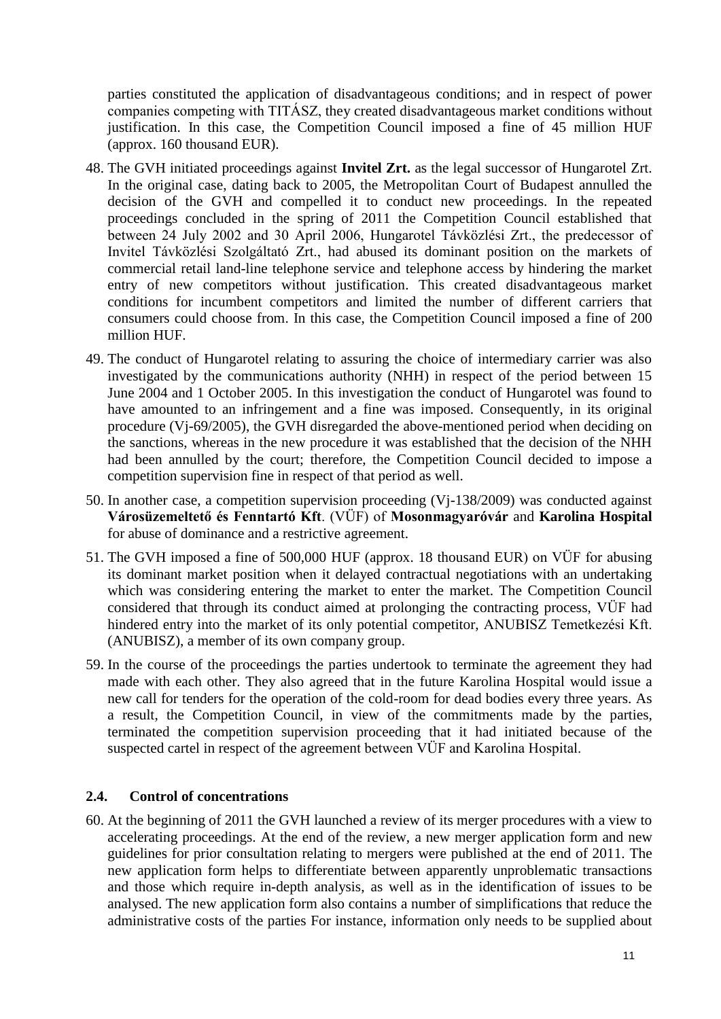parties constituted the application of disadvantageous conditions; and in respect of power companies competing with TITÁSZ, they created disadvantageous market conditions without justification. In this case, the Competition Council imposed a fine of 45 million HUF (approx. 160 thousand EUR).

- 48. The GVH initiated proceedings against **Invitel Zrt.** as the legal successor of Hungarotel Zrt. In the original case, dating back to 2005, the Metropolitan Court of Budapest annulled the decision of the GVH and compelled it to conduct new proceedings. In the repeated proceedings concluded in the spring of 2011 the Competition Council established that between 24 July 2002 and 30 April 2006, Hungarotel Távközlési Zrt., the predecessor of Invitel Távközlési Szolgáltató Zrt., had abused its dominant position on the markets of commercial retail land-line telephone service and telephone access by hindering the market entry of new competitors without justification. This created disadvantageous market conditions for incumbent competitors and limited the number of different carriers that consumers could choose from. In this case, the Competition Council imposed a fine of 200 million HUF.
- 49. The conduct of Hungarotel relating to assuring the choice of intermediary carrier was also investigated by the communications authority (NHH) in respect of the period between 15 June 2004 and 1 October 2005. In this investigation the conduct of Hungarotel was found to have amounted to an infringement and a fine was imposed. Consequently, in its original procedure (Vj-69/2005), the GVH disregarded the above-mentioned period when deciding on the sanctions, whereas in the new procedure it was established that the decision of the NHH had been annulled by the court; therefore, the Competition Council decided to impose a competition supervision fine in respect of that period as well.
- 50. In another case, a competition supervision proceeding (Vj-138/2009) was conducted against **Városüzemeltető és Fenntartó Kft**. (VÜF) of **Mosonmagyaróvár** and **Karolina Hospital**  for abuse of dominance and a restrictive agreement.
- 51. The GVH imposed a fine of 500,000 HUF (approx. 18 thousand EUR) on VÜF for abusing its dominant market position when it delayed contractual negotiations with an undertaking which was considering entering the market to enter the market. The Competition Council considered that through its conduct aimed at prolonging the contracting process, VÜF had hindered entry into the market of its only potential competitor, ANUBISZ Temetkezési Kft. (ANUBISZ), a member of its own company group.
- 59. In the course of the proceedings the parties undertook to terminate the agreement they had made with each other. They also agreed that in the future Karolina Hospital would issue a new call for tenders for the operation of the cold-room for dead bodies every three years. As a result, the Competition Council, in view of the commitments made by the parties, terminated the competition supervision proceeding that it had initiated because of the suspected cartel in respect of the agreement between VÜF and Karolina Hospital.

# <span id="page-10-0"></span>**2.4. Control of concentrations**

60. At the beginning of 2011 the GVH launched a review of its merger procedures with a view to accelerating proceedings. At the end of the review, a new merger application form and new guidelines for prior consultation relating to mergers were published at the end of 2011. The new application form helps to differentiate between apparently unproblematic transactions and those which require in-depth analysis, as well as in the identification of issues to be analysed. The new application form also contains a number of simplifications that reduce the administrative costs of the parties For instance, information only needs to be supplied about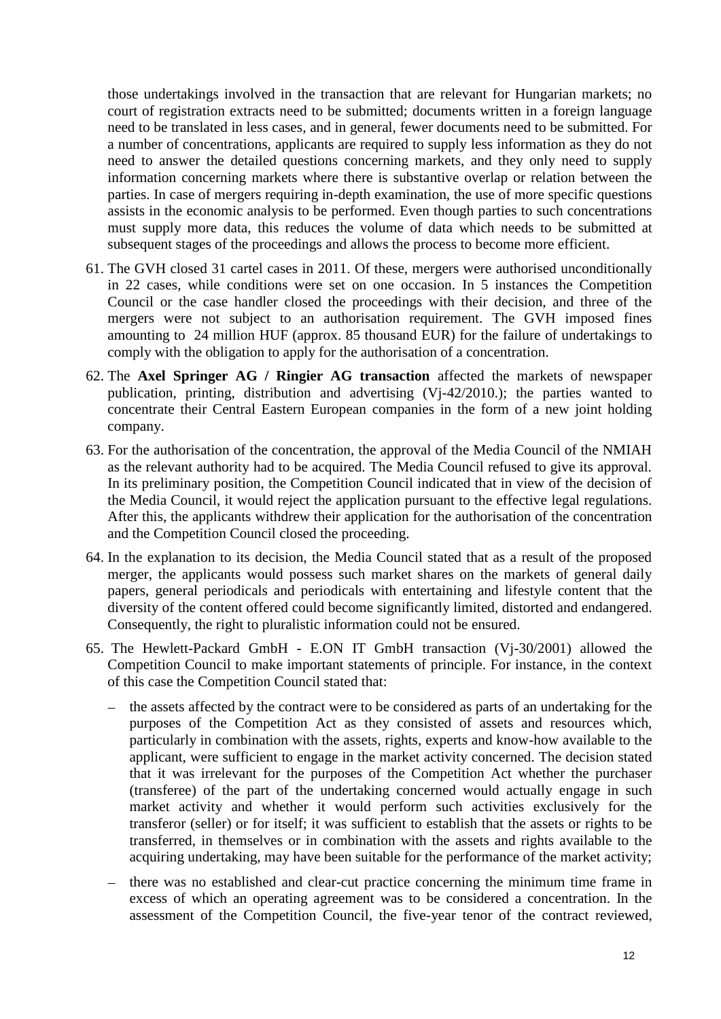those undertakings involved in the transaction that are relevant for Hungarian markets; no court of registration extracts need to be submitted; documents written in a foreign language need to be translated in less cases, and in general, fewer documents need to be submitted. For a number of concentrations, applicants are required to supply less information as they do not need to answer the detailed questions concerning markets, and they only need to supply information concerning markets where there is substantive overlap or relation between the parties. In case of mergers requiring in-depth examination, the use of more specific questions assists in the economic analysis to be performed. Even though parties to such concentrations must supply more data, this reduces the volume of data which needs to be submitted at subsequent stages of the proceedings and allows the process to become more efficient.

- 61. The GVH closed 31 cartel cases in 2011. Of these, mergers were authorised unconditionally in 22 cases, while conditions were set on one occasion. In 5 instances the Competition Council or the case handler closed the proceedings with their decision, and three of the mergers were not subject to an authorisation requirement. The GVH imposed fines amounting to 24 million HUF (approx. 85 thousand EUR) for the failure of undertakings to comply with the obligation to apply for the authorisation of a concentration.
- 62. The **Axel Springer AG / Ringier AG transaction** affected the markets of newspaper publication, printing, distribution and advertising (Vj-42/2010.); the parties wanted to concentrate their Central Eastern European companies in the form of a new joint holding company.
- 63. For the authorisation of the concentration, the approval of the Media Council of the NMIAH as the relevant authority had to be acquired. The Media Council refused to give its approval. In its preliminary position, the Competition Council indicated that in view of the decision of the Media Council, it would reject the application pursuant to the effective legal regulations. After this, the applicants withdrew their application for the authorisation of the concentration and the Competition Council closed the proceeding.
- 64. In the explanation to its decision, the Media Council stated that as a result of the proposed merger, the applicants would possess such market shares on the markets of general daily papers, general periodicals and periodicals with entertaining and lifestyle content that the diversity of the content offered could become significantly limited, distorted and endangered. Consequently, the right to pluralistic information could not be ensured.
- 65. The Hewlett-Packard GmbH E.ON IT GmbH transaction (Vj-30/2001) allowed the Competition Council to make important statements of principle. For instance, in the context of this case the Competition Council stated that:
	- the assets affected by the contract were to be considered as parts of an undertaking for the purposes of the Competition Act as they consisted of assets and resources which, particularly in combination with the assets, rights, experts and know-how available to the applicant, were sufficient to engage in the market activity concerned. The decision stated that it was irrelevant for the purposes of the Competition Act whether the purchaser (transferee) of the part of the undertaking concerned would actually engage in such market activity and whether it would perform such activities exclusively for the transferor (seller) or for itself; it was sufficient to establish that the assets or rights to be transferred, in themselves or in combination with the assets and rights available to the acquiring undertaking, may have been suitable for the performance of the market activity;
	- there was no established and clear-cut practice concerning the minimum time frame in excess of which an operating agreement was to be considered a concentration. In the assessment of the Competition Council, the five-year tenor of the contract reviewed,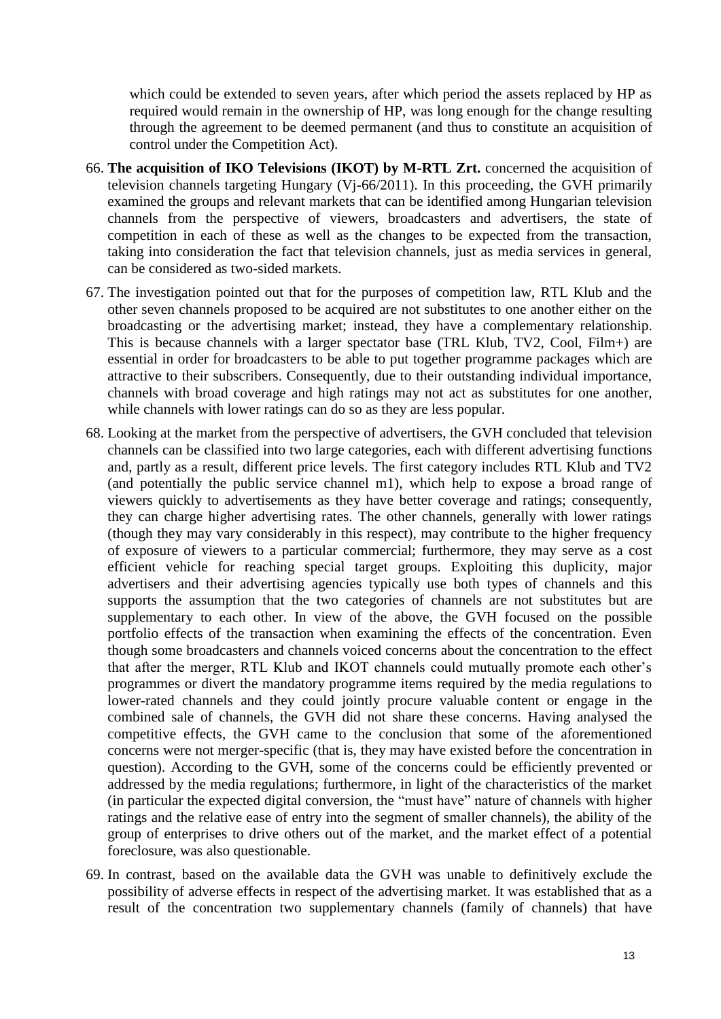which could be extended to seven years, after which period the assets replaced by HP as required would remain in the ownership of HP, was long enough for the change resulting through the agreement to be deemed permanent (and thus to constitute an acquisition of control under the Competition Act).

- 66. **The acquisition of IKO Televisions (IKOT) by M-RTL Zrt.** concerned the acquisition of television channels targeting Hungary (Vj-66/2011). In this proceeding, the GVH primarily examined the groups and relevant markets that can be identified among Hungarian television channels from the perspective of viewers, broadcasters and advertisers, the state of competition in each of these as well as the changes to be expected from the transaction, taking into consideration the fact that television channels, just as media services in general, can be considered as two-sided markets.
- 67. The investigation pointed out that for the purposes of competition law, RTL Klub and the other seven channels proposed to be acquired are not substitutes to one another either on the broadcasting or the advertising market; instead, they have a complementary relationship. This is because channels with a larger spectator base (TRL Klub, TV2, Cool, Film+) are essential in order for broadcasters to be able to put together programme packages which are attractive to their subscribers. Consequently, due to their outstanding individual importance, channels with broad coverage and high ratings may not act as substitutes for one another, while channels with lower ratings can do so as they are less popular.
- 68. Looking at the market from the perspective of advertisers, the GVH concluded that television channels can be classified into two large categories, each with different advertising functions and, partly as a result, different price levels. The first category includes RTL Klub and TV2 (and potentially the public service channel m1), which help to expose a broad range of viewers quickly to advertisements as they have better coverage and ratings; consequently, they can charge higher advertising rates. The other channels, generally with lower ratings (though they may vary considerably in this respect), may contribute to the higher frequency of exposure of viewers to a particular commercial; furthermore, they may serve as a cost efficient vehicle for reaching special target groups. Exploiting this duplicity, major advertisers and their advertising agencies typically use both types of channels and this supports the assumption that the two categories of channels are not substitutes but are supplementary to each other. In view of the above, the GVH focused on the possible portfolio effects of the transaction when examining the effects of the concentration. Even though some broadcasters and channels voiced concerns about the concentration to the effect that after the merger, RTL Klub and IKOT channels could mutually promote each other's programmes or divert the mandatory programme items required by the media regulations to lower-rated channels and they could jointly procure valuable content or engage in the combined sale of channels, the GVH did not share these concerns. Having analysed the competitive effects, the GVH came to the conclusion that some of the aforementioned concerns were not merger-specific (that is, they may have existed before the concentration in question). According to the GVH, some of the concerns could be efficiently prevented or addressed by the media regulations; furthermore, in light of the characteristics of the market (in particular the expected digital conversion, the "must have" nature of channels with higher ratings and the relative ease of entry into the segment of smaller channels), the ability of the group of enterprises to drive others out of the market, and the market effect of a potential foreclosure, was also questionable.
- 69. In contrast, based on the available data the GVH was unable to definitively exclude the possibility of adverse effects in respect of the advertising market. It was established that as a result of the concentration two supplementary channels (family of channels) that have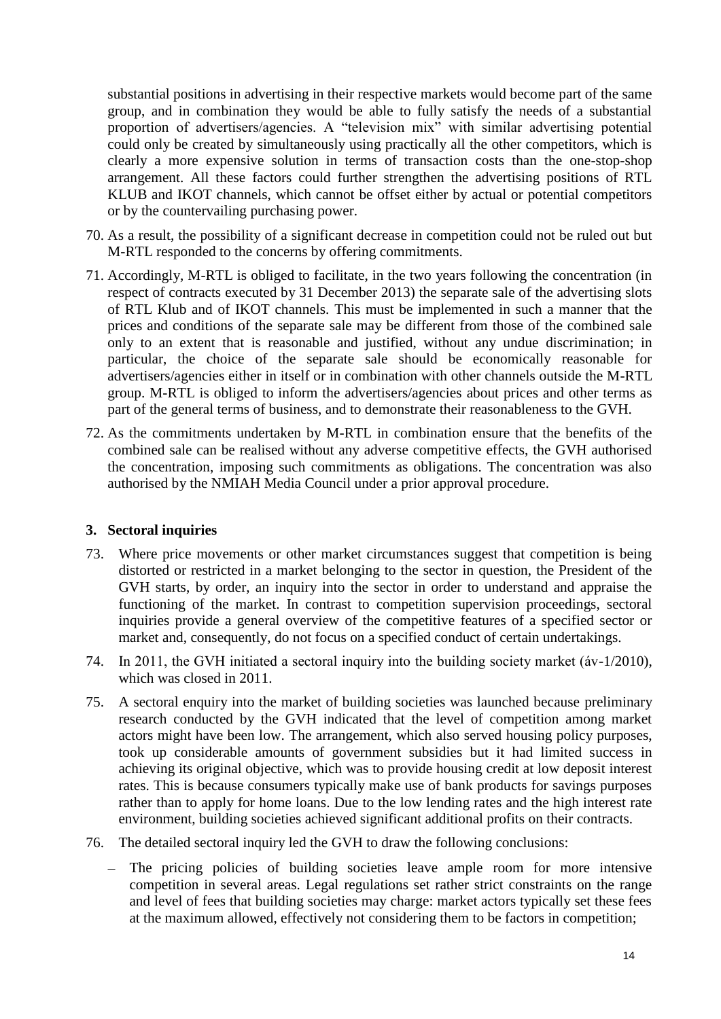substantial positions in advertising in their respective markets would become part of the same group, and in combination they would be able to fully satisfy the needs of a substantial proportion of advertisers/agencies. A "television mix" with similar advertising potential could only be created by simultaneously using practically all the other competitors, which is clearly a more expensive solution in terms of transaction costs than the one-stop-shop arrangement. All these factors could further strengthen the advertising positions of RTL KLUB and IKOT channels, which cannot be offset either by actual or potential competitors or by the countervailing purchasing power.

- 70. As a result, the possibility of a significant decrease in competition could not be ruled out but M-RTL responded to the concerns by offering commitments.
- 71. Accordingly, M-RTL is obliged to facilitate, in the two years following the concentration (in respect of contracts executed by 31 December 2013) the separate sale of the advertising slots of RTL Klub and of IKOT channels. This must be implemented in such a manner that the prices and conditions of the separate sale may be different from those of the combined sale only to an extent that is reasonable and justified, without any undue discrimination; in particular, the choice of the separate sale should be economically reasonable for advertisers/agencies either in itself or in combination with other channels outside the M-RTL group. M-RTL is obliged to inform the advertisers/agencies about prices and other terms as part of the general terms of business, and to demonstrate their reasonableness to the GVH.
- 72. As the commitments undertaken by M-RTL in combination ensure that the benefits of the combined sale can be realised without any adverse competitive effects, the GVH authorised the concentration, imposing such commitments as obligations. The concentration was also authorised by the NMIAH Media Council under a prior approval procedure.

#### <span id="page-13-0"></span>**3. Sectoral inquiries**

- 73. Where price movements or other market circumstances suggest that competition is being distorted or restricted in a market belonging to the sector in question, the President of the GVH starts, by order, an inquiry into the sector in order to understand and appraise the functioning of the market. In contrast to competition supervision proceedings, sectoral inquiries provide a general overview of the competitive features of a specified sector or market and, consequently, do not focus on a specified conduct of certain undertakings.
- 74. In 2011, the GVH initiated a sectoral inquiry into the building society market (áv-1/2010), which was closed in 2011.
- 75. A sectoral enquiry into the market of building societies was launched because preliminary research conducted by the GVH indicated that the level of competition among market actors might have been low. The arrangement, which also served housing policy purposes, took up considerable amounts of government subsidies but it had limited success in achieving its original objective, which was to provide housing credit at low deposit interest rates. This is because consumers typically make use of bank products for savings purposes rather than to apply for home loans. Due to the low lending rates and the high interest rate environment, building societies achieved significant additional profits on their contracts.
- 76. The detailed sectoral inquiry led the GVH to draw the following conclusions:
	- The pricing policies of building societies leave ample room for more intensive competition in several areas. Legal regulations set rather strict constraints on the range and level of fees that building societies may charge: market actors typically set these fees at the maximum allowed, effectively not considering them to be factors in competition;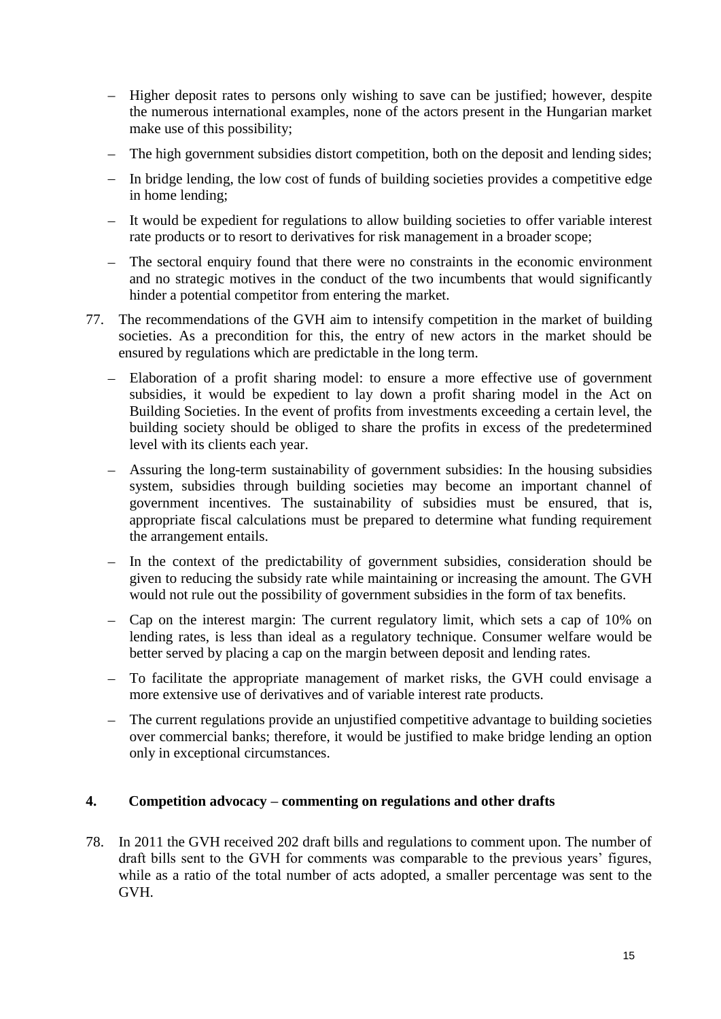- Higher deposit rates to persons only wishing to save can be justified; however, despite the numerous international examples, none of the actors present in the Hungarian market make use of this possibility;
- The high government subsidies distort competition, both on the deposit and lending sides;
- In bridge lending, the low cost of funds of building societies provides a competitive edge in home lending;
- It would be expedient for regulations to allow building societies to offer variable interest rate products or to resort to derivatives for risk management in a broader scope;
- The sectoral enquiry found that there were no constraints in the economic environment and no strategic motives in the conduct of the two incumbents that would significantly hinder a potential competitor from entering the market.
- 77. The recommendations of the GVH aim to intensify competition in the market of building societies. As a precondition for this, the entry of new actors in the market should be ensured by regulations which are predictable in the long term.
	- Elaboration of a profit sharing model: to ensure a more effective use of government subsidies, it would be expedient to lay down a profit sharing model in the Act on Building Societies. In the event of profits from investments exceeding a certain level, the building society should be obliged to share the profits in excess of the predetermined level with its clients each year.
	- Assuring the long-term sustainability of government subsidies: In the housing subsidies system, subsidies through building societies may become an important channel of government incentives. The sustainability of subsidies must be ensured, that is, appropriate fiscal calculations must be prepared to determine what funding requirement the arrangement entails.
	- In the context of the predictability of government subsidies, consideration should be given to reducing the subsidy rate while maintaining or increasing the amount. The GVH would not rule out the possibility of government subsidies in the form of tax benefits.
	- Cap on the interest margin: The current regulatory limit, which sets a cap of 10% on lending rates, is less than ideal as a regulatory technique. Consumer welfare would be better served by placing a cap on the margin between deposit and lending rates.
	- To facilitate the appropriate management of market risks, the GVH could envisage a more extensive use of derivatives and of variable interest rate products.
	- The current regulations provide an unjustified competitive advantage to building societies over commercial banks; therefore, it would be justified to make bridge lending an option only in exceptional circumstances.

# <span id="page-14-0"></span>**4. Competition advocacy – commenting on regulations and other drafts**

78. In 2011 the GVH received 202 draft bills and regulations to comment upon. The number of draft bills sent to the GVH for comments was comparable to the previous years' figures, while as a ratio of the total number of acts adopted, a smaller percentage was sent to the GVH.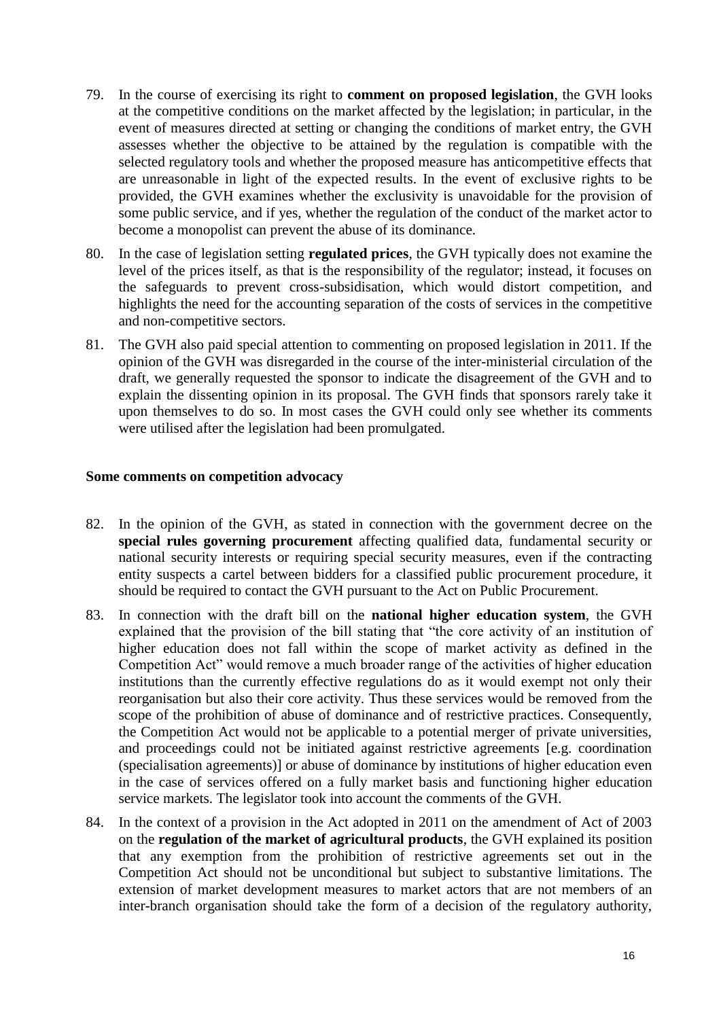- 79. In the course of exercising its right to **comment on proposed legislation**, the GVH looks at the competitive conditions on the market affected by the legislation; in particular, in the event of measures directed at setting or changing the conditions of market entry, the GVH assesses whether the objective to be attained by the regulation is compatible with the selected regulatory tools and whether the proposed measure has anticompetitive effects that are unreasonable in light of the expected results. In the event of exclusive rights to be provided, the GVH examines whether the exclusivity is unavoidable for the provision of some public service, and if yes, whether the regulation of the conduct of the market actor to become a monopolist can prevent the abuse of its dominance.
- 80. In the case of legislation setting **regulated prices**, the GVH typically does not examine the level of the prices itself, as that is the responsibility of the regulator; instead, it focuses on the safeguards to prevent cross-subsidisation, which would distort competition, and highlights the need for the accounting separation of the costs of services in the competitive and non-competitive sectors.
- 81. The GVH also paid special attention to commenting on proposed legislation in 2011. If the opinion of the GVH was disregarded in the course of the inter-ministerial circulation of the draft, we generally requested the sponsor to indicate the disagreement of the GVH and to explain the dissenting opinion in its proposal. The GVH finds that sponsors rarely take it upon themselves to do so. In most cases the GVH could only see whether its comments were utilised after the legislation had been promulgated.

#### **Some comments on competition advocacy**

- 82. In the opinion of the GVH, as stated in connection with the government decree on the **special rules governing procurement** affecting qualified data, fundamental security or national security interests or requiring special security measures, even if the contracting entity suspects a cartel between bidders for a classified public procurement procedure, it should be required to contact the GVH pursuant to the Act on Public Procurement.
- 83. In connection with the draft bill on the **national higher education system**, the GVH explained that the provision of the bill stating that "the core activity of an institution of higher education does not fall within the scope of market activity as defined in the Competition Act" would remove a much broader range of the activities of higher education institutions than the currently effective regulations do as it would exempt not only their reorganisation but also their core activity. Thus these services would be removed from the scope of the prohibition of abuse of dominance and of restrictive practices. Consequently, the Competition Act would not be applicable to a potential merger of private universities, and proceedings could not be initiated against restrictive agreements [e.g. coordination (specialisation agreements)] or abuse of dominance by institutions of higher education even in the case of services offered on a fully market basis and functioning higher education service markets. The legislator took into account the comments of the GVH.
- 84. In the context of a provision in the Act adopted in 2011 on the amendment of Act of 2003 on the **regulation of the market of agricultural products**, the GVH explained its position that any exemption from the prohibition of restrictive agreements set out in the Competition Act should not be unconditional but subject to substantive limitations. The extension of market development measures to market actors that are not members of an inter-branch organisation should take the form of a decision of the regulatory authority,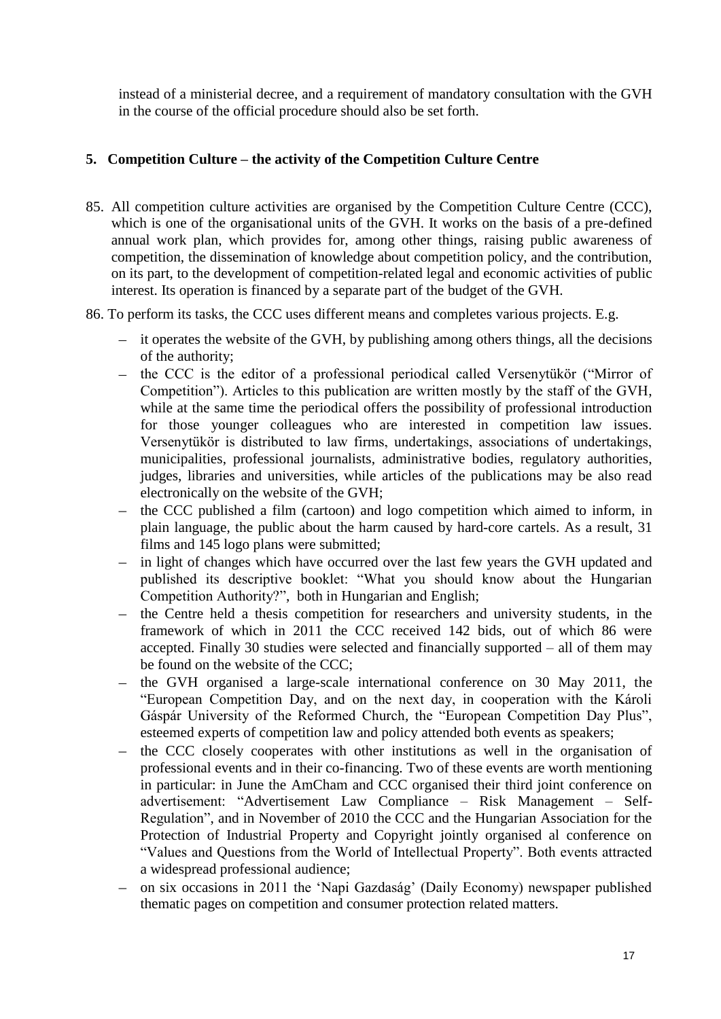instead of a ministerial decree, and a requirement of mandatory consultation with the GVH in the course of the official procedure should also be set forth.

# <span id="page-16-0"></span>**5. Competition Culture – the activity of the Competition Culture Centre**

- 85. All competition culture activities are organised by the Competition Culture Centre (CCC), which is one of the organisational units of the GVH. It works on the basis of a pre-defined annual work plan, which provides for, among other things, raising public awareness of competition, the dissemination of knowledge about competition policy, and the contribution, on its part, to the development of competition-related legal and economic activities of public interest. Its operation is financed by a separate part of the budget of the GVH.
- 86. To perform its tasks, the CCC uses different means and completes various projects. E.g.
	- it operates the website of the GVH, by publishing among others things, all the decisions of the authority;
	- the CCC is the editor of a professional periodical called Versenytükör ("Mirror of Competition"). Articles to this publication are written mostly by the staff of the GVH, while at the same time the periodical offers the possibility of professional introduction for those younger colleagues who are interested in competition law issues. Versenytükör is distributed to law firms, undertakings, associations of undertakings, municipalities, professional journalists, administrative bodies, regulatory authorities, judges, libraries and universities, while articles of the publications may be also read electronically on the website of the GVH;
	- the CCC published a film (cartoon) and logo competition which aimed to inform, in  $\equiv$ plain language, the public about the harm caused by hard-core cartels. As a result, 31 films and 145 logo plans were submitted;
	- in light of changes which have occurred over the last few years the GVH updated and  $\equiv$ published its descriptive booklet: "What you should know about the Hungarian Competition Authority?", both in Hungarian and English;
	- the Centre held a thesis competition for researchers and university students, in the  $\equiv$ framework of which in 2011 the CCC received 142 bids, out of which 86 were accepted. Finally 30 studies were selected and financially supported – all of them may be found on the website of the CCC;
	- the GVH organised a large-scale international conference on 30 May 2011, the  $\equiv$  . "European Competition Day, and on the next day, in cooperation with the Károli Gáspár University of the Reformed Church, the "European Competition Day Plus", esteemed experts of competition law and policy attended both events as speakers;
	- the CCC closely cooperates with other institutions as well in the organisation of  $\equiv$ professional events and in their co-financing. Two of these events are worth mentioning in particular: in June the AmCham and CCC organised their third joint conference on advertisement: "Advertisement Law Compliance – Risk Management – Self-Regulation", and in November of 2010 the CCC and the Hungarian Association for the Protection of Industrial Property and Copyright jointly organised al conference on "Values and Questions from the World of Intellectual Property". Both events attracted a widespread professional audience;
	- on six occasions in 2011 the 'Napi Gazdaság' (Daily Economy) newspaper published thematic pages on competition and consumer protection related matters.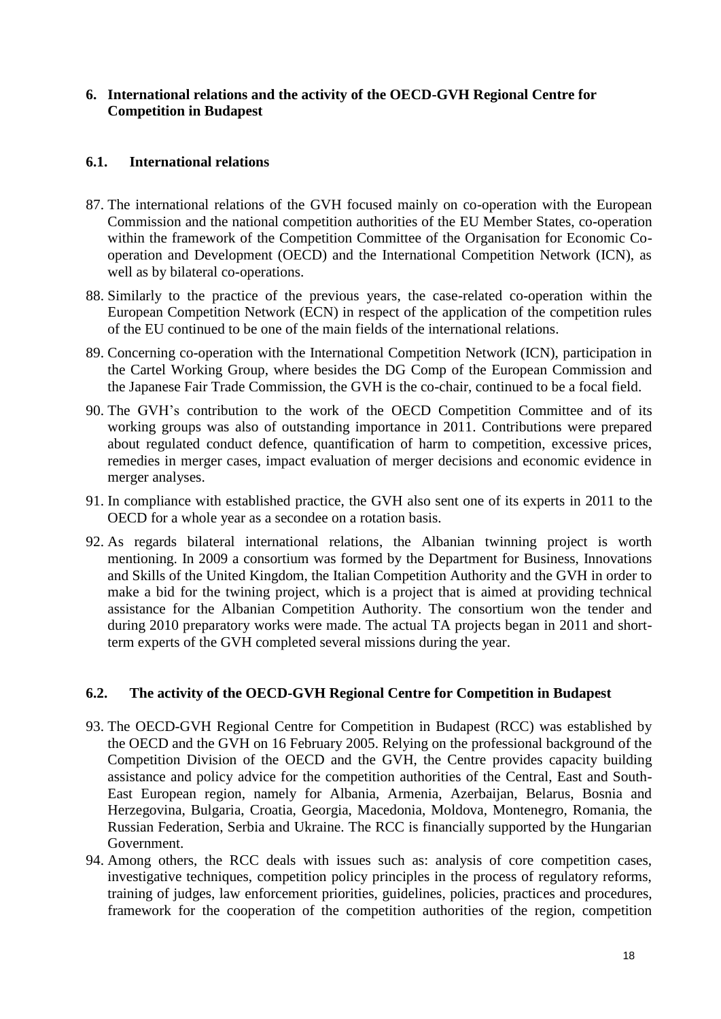# <span id="page-17-0"></span>**6. International relations and the activity of the OECD-GVH Regional Centre for Competition in Budapest**

# **6.1. International relations**

- 87. The international relations of the GVH focused mainly on co-operation with the European Commission and the national competition authorities of the EU Member States, co-operation within the framework of the Competition Committee of the Organisation for Economic Cooperation and Development (OECD) and the International Competition Network (ICN), as well as by bilateral co-operations.
- 88. Similarly to the practice of the previous years, the case-related co-operation within the European Competition Network (ECN) in respect of the application of the competition rules of the EU continued to be one of the main fields of the international relations.
- 89. Concerning co-operation with the International Competition Network (ICN), participation in the Cartel Working Group, where besides the DG Comp of the European Commission and the Japanese Fair Trade Commission, the GVH is the co-chair, continued to be a focal field.
- 90. The GVH's contribution to the work of the OECD Competition Committee and of its working groups was also of outstanding importance in 2011. Contributions were prepared about regulated conduct defence, quantification of harm to competition, excessive prices, remedies in merger cases, impact evaluation of merger decisions and economic evidence in merger analyses.
- 91. In compliance with established practice, the GVH also sent one of its experts in 2011 to the OECD for a whole year as a secondee on a rotation basis.
- 92. As regards bilateral international relations, the Albanian twinning project is worth mentioning. In 2009 a consortium was formed by the Department for Business, Innovations and Skills of the United Kingdom, the Italian Competition Authority and the GVH in order to make a bid for the twining project, which is a project that is aimed at providing technical assistance for the Albanian Competition Authority. The consortium won the tender and during 2010 preparatory works were made. The actual TA projects began in 2011 and shortterm experts of the GVH completed several missions during the year.

#### **6.2. The activity of the OECD-GVH Regional Centre for Competition in Budapest**

- 93. The OECD-GVH Regional Centre for Competition in Budapest (RCC) was established by the OECD and the GVH on 16 February 2005. Relying on the professional background of the Competition Division of the OECD and the GVH, the Centre provides capacity building assistance and policy advice for the competition authorities of the Central, East and South-East European region, namely for Albania, Armenia, Azerbaijan, Belarus, Bosnia and Herzegovina, Bulgaria, Croatia, Georgia, Macedonia, Moldova, Montenegro, Romania, the Russian Federation, Serbia and Ukraine. The RCC is financially supported by the Hungarian Government.
- 94. Among others, the RCC deals with issues such as: analysis of core competition cases, investigative techniques, competition policy principles in the process of regulatory reforms, training of judges, law enforcement priorities, guidelines, policies, practices and procedures, framework for the cooperation of the competition authorities of the region, competition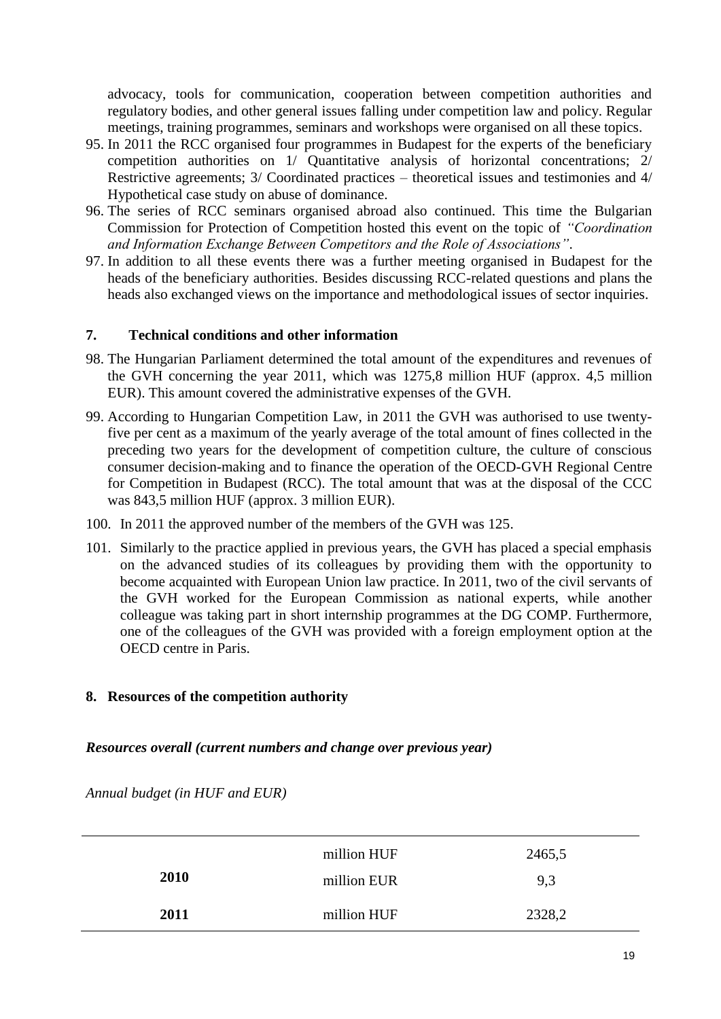advocacy, tools for communication, cooperation between competition authorities and regulatory bodies, and other general issues falling under competition law and policy. Regular meetings, training programmes, seminars and workshops were organised on all these topics.

- 95. In 2011 the RCC organised four programmes in Budapest for the experts of the beneficiary competition authorities on 1/ Quantitative analysis of horizontal concentrations; 2/ Restrictive agreements; 3/ Coordinated practices – theoretical issues and testimonies and 4/ Hypothetical case study on abuse of dominance.
- 96. The series of RCC seminars organised abroad also continued. This time the Bulgarian Commission for Protection of Competition hosted this event on the topic of *"Coordination and Information Exchange Between Competitors and the Role of Associations"*.
- 97. In addition to all these events there was a further meeting organised in Budapest for the heads of the beneficiary authorities. Besides discussing RCC-related questions and plans the heads also exchanged views on the importance and methodological issues of sector inquiries.

### <span id="page-18-0"></span>**7. Technical conditions and other information**

- 98. The Hungarian Parliament determined the total amount of the expenditures and revenues of the GVH concerning the year 2011, which was 1275,8 million HUF (approx. 4,5 million EUR). This amount covered the administrative expenses of the GVH.
- 99. According to Hungarian Competition Law, in 2011 the GVH was authorised to use twentyfive per cent as a maximum of the yearly average of the total amount of fines collected in the preceding two years for the development of competition culture, the culture of conscious consumer decision-making and to finance the operation of the OECD-GVH Regional Centre for Competition in Budapest (RCC). The total amount that was at the disposal of the CCC was 843,5 million HUF (approx. 3 million EUR).
- 100. In 2011 the approved number of the members of the GVH was 125.
- 101. Similarly to the practice applied in previous years, the GVH has placed a special emphasis on the advanced studies of its colleagues by providing them with the opportunity to become acquainted with European Union law practice. In 2011, two of the civil servants of the GVH worked for the European Commission as national experts, while another colleague was taking part in short internship programmes at the DG COMP. Furthermore, one of the colleagues of the GVH was provided with a foreign employment option at the OECD centre in Paris.

# <span id="page-18-1"></span>**8. Resources of the competition authority**

# *Resources overall (current numbers and change over previous year)*

*Annual budget (in HUF and EUR)*

|      | million HUF | 2465,5 |  |
|------|-------------|--------|--|
| 2010 | million EUR | 9,3    |  |
| 2011 | million HUF | 2328,2 |  |